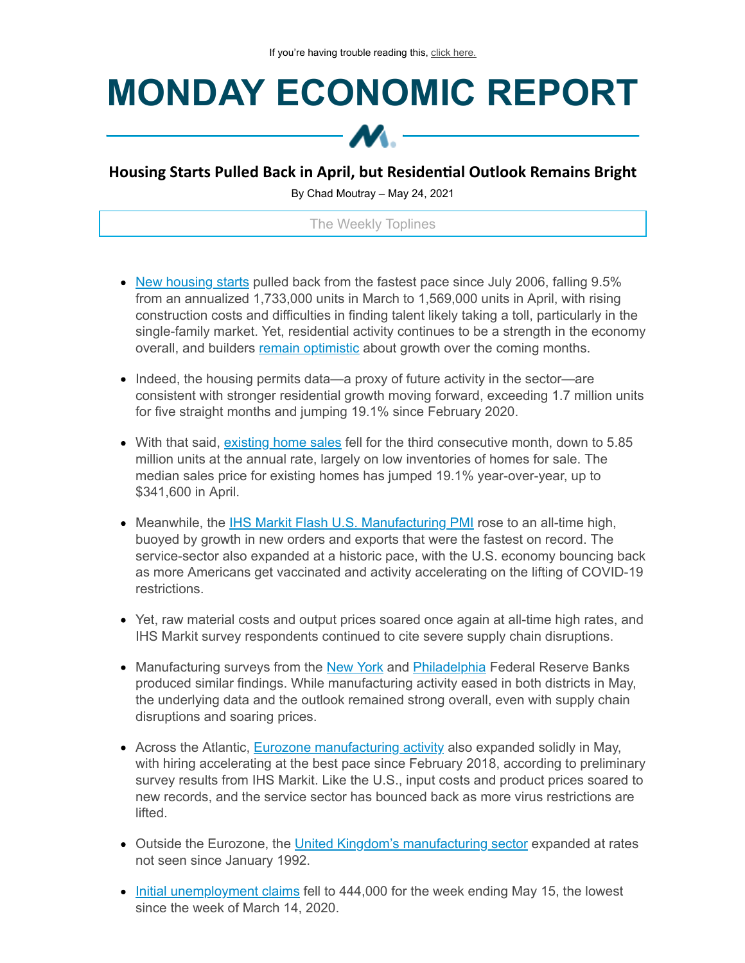## **MONDAY ECONOMIC REPORT**



## **Housing Starts Pulled Back in April, but Residenal Outlook Remains Bright**

By Chad Moutray – May 24, 2021

## The Weekly Toplines

- New [housing](https://click.email.nam.org/?qs=95f36be3d772db299e09551e4fb7bd5ebd122e925e76554a21bd6174c7b170a9a5ab37598ced316e54318f64a6ecb3dc2587b0c445c89ad7) starts pulled back from the fastest pace since July 2006, falling 9.5% from an annualized 1,733,000 units in March to 1,569,000 units in April, with rising construction costs and difficulties in finding talent likely taking a toll, particularly in the single-family market. Yet, residential activity continues to be a strength in the economy overall, and builders remain [optimistic](https://click.email.nam.org/?qs=95f36be3d772db2967e1134817d44464742696c5a08fa50c25970722de7084eac4c7821cb0a059203f8969a431960d5b8ee3c32d613c5b0d) about growth over the coming months.
- Indeed, the housing permits data—a proxy of future activity in the sector—are consistent with stronger residential growth moving forward, exceeding 1.7 million units for five straight months and jumping 19.1% since February 2020.
- With that said, [existing](https://click.email.nam.org/?qs=95f36be3d772db2901eb307e89be8e02c20d10c56bdcce6796d2fe032dafa7268740eace4ac0abf26ef59186a099d6dd88db13164479229c) home sales fell for the third consecutive month, down to 5.85 million units at the annual rate, largely on low inventories of homes for sale. The median sales price for existing homes has jumped 19.1% year-over-year, up to \$341,600 in April.
- Meanwhile, the IHS Markit Flash U.S. [Manufacturing](https://click.email.nam.org/?qs=95f36be3d772db29a7344ce394457e2d3b2a85b2744aa1c30549c460366edb0218dc921e56f09be32ef66fcd6c6015251510eac8f2c4d724) PMI rose to an all-time high, buoyed by growth in new orders and exports that were the fastest on record. The service-sector also expanded at a historic pace, with the U.S. economy bouncing back as more Americans get vaccinated and activity accelerating on the lifting of COVID-19 restrictions.
- Yet, raw material costs and output prices soared once again at all-time high rates, and IHS Markit survey respondents continued to cite severe supply chain disruptions.
- Manufacturing surveys from the [New](https://click.email.nam.org/?qs=95f36be3d772db297594c31c6e70a88321908e9871e1010d1476f4b2fb8a8a71131b20dc42e2142d54849b75d853f1f6457e014b14a65773) York and [Philadelphia](https://click.email.nam.org/?qs=95f36be3d772db2967cb4a3410acbbbb1eeee4e87a799f530d655e32bd55a2ca47da85ae7d7b02167b278b42b2febaf7ef8dee3659ac8769) Federal Reserve Banks produced similar findings. While manufacturing activity eased in both districts in May, the underlying data and the outlook remained strong overall, even with supply chain disruptions and soaring prices.
- Across the Atlantic, Eurozone [manufacturing](https://click.email.nam.org/?qs=95f36be3d772db2979a9e6337dd6e396bf80a7f5c6c87f650e8ee6e1b3439ec1d579d49c7581983b7e1c0a11c836a93f64a69b9391b6a558) activity also expanded solidly in May, with hiring accelerating at the best pace since February 2018, according to preliminary survey results from IHS Markit. Like the U.S., input costs and product prices soared to new records, and the service sector has bounced back as more virus restrictions are lifted.
- Outside the Eurozone, the United Kingdom's [manufacturing](https://click.email.nam.org/?qs=95f36be3d772db2931593479869fc04dec80a61391cd2bbd3277c3e5f4553c7994333b7ccf650a45f19cbcb95fec8c7e10f3edaeb34ce9cb) sector expanded at rates not seen since January 1992.
- Initial [unemployment](https://click.email.nam.org/?qs=95f36be3d772db294661614e3466f55b3852d750ae3f8bc946c23f629eda6e92ae6054203f8720ac4a540f81c14ca7c34f93d0d77fc12b63) claims fell to 444,000 for the week ending May 15, the lowest since the week of March 14, 2020.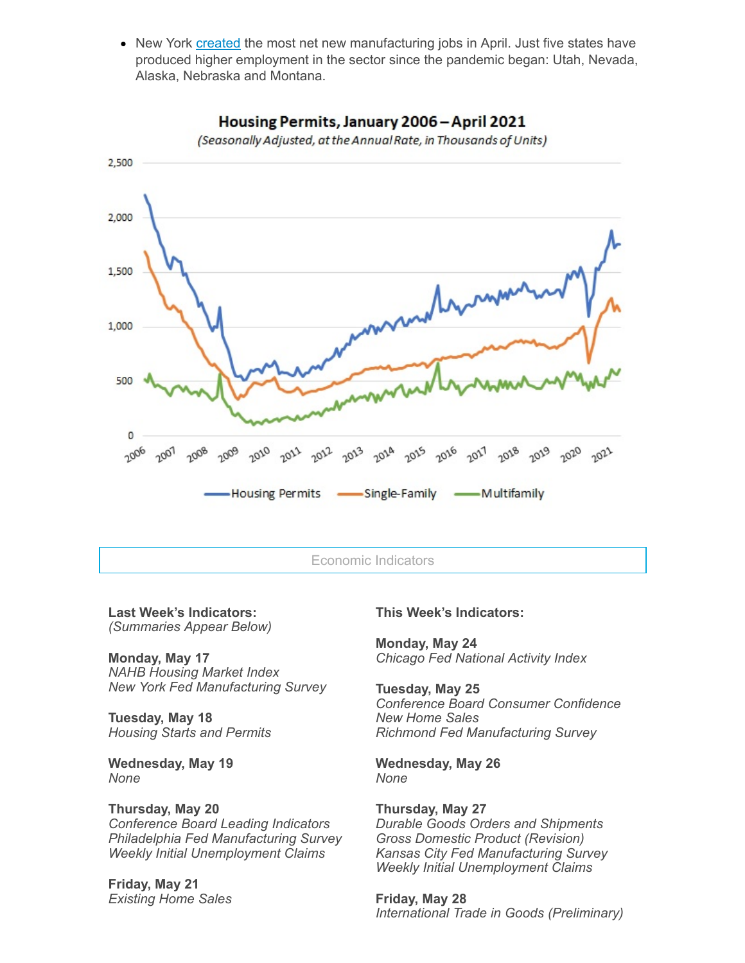• New York [created](https://click.email.nam.org/?qs=95f36be3d772db29f74d0ef52fdc6f86b309f81f467f1d91ed6ea8c2b0c11cd734f8b50ca043abfa6276d03e68914c0fcd2529ed4277e67d) the most net new manufacturing jobs in April. Just five states have produced higher employment in the sector since the pandemic began: Utah, Nevada, Alaska, Nebraska and Montana.



Housing Permits, January 2006 - April 2021

(Seasonally Adjusted, at the Annual Rate, in Thousands of Units)

Economic Indicators

**Last Week's Indicators:** *(Summaries Appear Below)*

**Monday, May 17** *NAHB Housing Market Index New York Fed Manufacturing Survey*

**Tuesday, May 18** *Housing Starts and Permits*

**Wednesday, May 19** *None*

**Thursday, May 20** *Conference Board Leading Indicators Philadelphia Fed Manufacturing Survey Weekly Initial Unemployment Claims*

**Friday, May 21** *Existing Home Sales* **This Week's Indicators:**

**Monday, May 24** *Chicago Fed National Activity Index*

**Tuesday, May 25** *Conference Board Consumer Confidence New Home Sales Richmond Fed Manufacturing Survey*

**Wednesday, May 26** *None*

**Thursday, May 27** *Durable Goods Orders and Shipments Gross Domestic Product (Revision) Kansas City Fed Manufacturing Survey Weekly Initial Unemployment Claims*

**Friday, May 28** *International Trade in Goods (Preliminary)*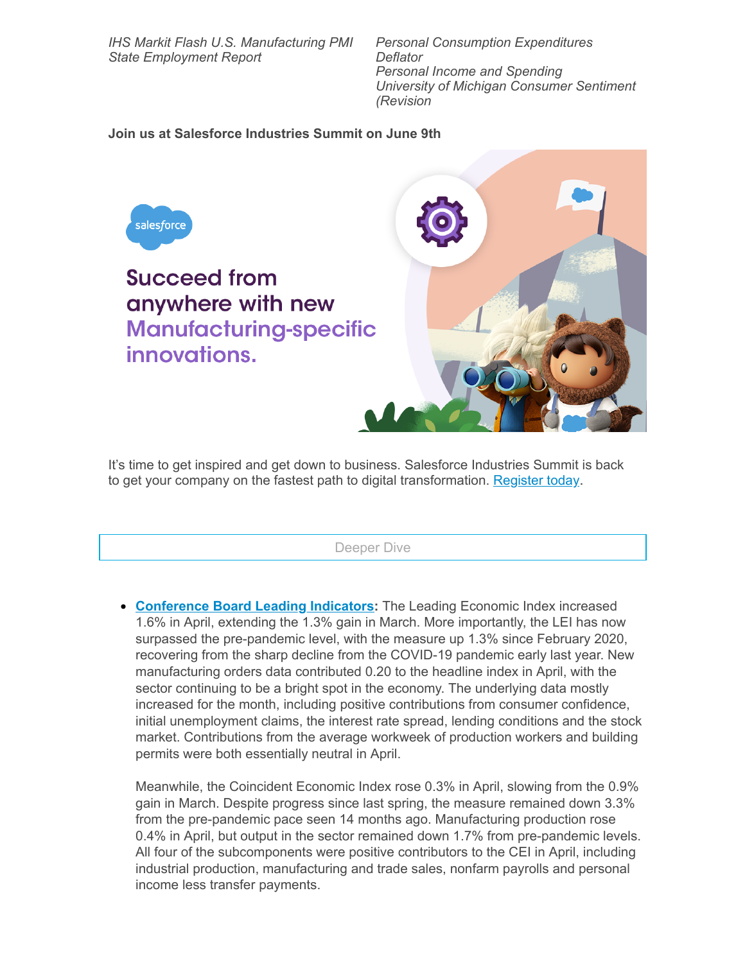*IHS Markit Flash U.S. Manufacturing PMI State Employment Report*

*Personal Consumption Expenditures Deflator Personal Income and Spending University of Michigan Consumer Sentiment (Revision*

## **Join us at Salesforce Industries Summit on June 9th**



It's time to get inspired and get down to business. Salesforce Industries Summit is back to get your company on the fastest path to digital transformation. [Register](https://click.email.nam.org/?qs=95f36be3d772db29fc1858c3ada4f6278090c539b39e4c177a81e895e4fe2bb21bca9e3d635bc09c6396f7b5f5099aa7e51e911a4349f018) today.

Deeper Dive

**[Conference](https://click.email.nam.org/?qs=95f36be3d772db29633722d514c6c6c082ed39cb7120d10b5321bfff42819d50d09a7d78f67c8facf42b435ef62f0ab6011df7226bb78c5f) Board Leading Indicators:** The Leading Economic Index increased 1.6% in April, extending the 1.3% gain in March. More importantly, the LEI has now surpassed the pre-pandemic level, with the measure up 1.3% since February 2020, recovering from the sharp decline from the COVID-19 pandemic early last year. New manufacturing orders data contributed 0.20 to the headline index in April, with the sector continuing to be a bright spot in the economy. The underlying data mostly increased for the month, including positive contributions from consumer confidence, initial unemployment claims, the interest rate spread, lending conditions and the stock market. Contributions from the average workweek of production workers and building permits were both essentially neutral in April.

Meanwhile, the Coincident Economic Index rose 0.3% in April, slowing from the 0.9% gain in March. Despite progress since last spring, the measure remained down 3.3% from the pre-pandemic pace seen 14 months ago. Manufacturing production rose 0.4% in April, but output in the sector remained down 1.7% from pre-pandemic levels. All four of the subcomponents were positive contributors to the CEI in April, including industrial production, manufacturing and trade sales, nonfarm payrolls and personal income less transfer payments.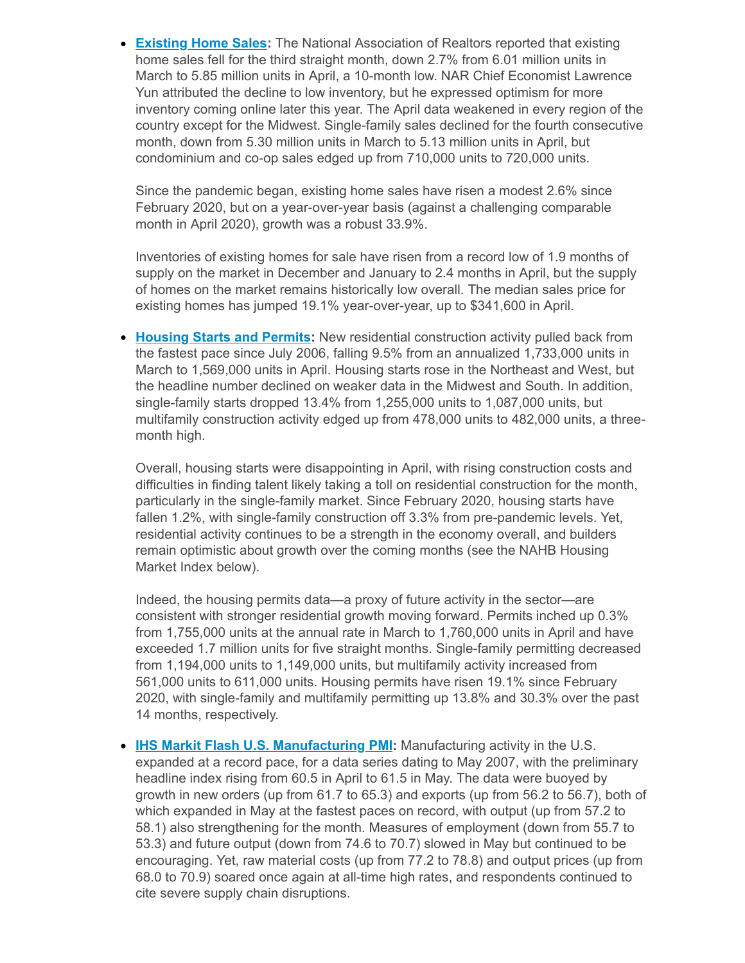**[Existing](https://click.email.nam.org/?qs=95f36be3d772db2901eb307e89be8e02c20d10c56bdcce6796d2fe032dafa7268740eace4ac0abf26ef59186a099d6dd88db13164479229c) Home Sales:** The National Association of Realtors reported that existing home sales fell for the third straight month, down 2.7% from 6.01 million units in March to 5.85 million units in April, a 10-month low. NAR Chief Economist Lawrence Yun attributed the decline to low inventory, but he expressed optimism for more inventory coming online later this year. The April data weakened in every region of the country except for the Midwest. Single-family sales declined for the fourth consecutive month, down from 5.30 million units in March to 5.13 million units in April, but condominium and co-op sales edged up from 710,000 units to 720,000 units.

Since the pandemic began, existing home sales have risen a modest 2.6% since February 2020, but on a year-over-year basis (against a challenging comparable month in April 2020), growth was a robust 33.9%.

Inventories of existing homes for sale have risen from a record low of 1.9 months of supply on the market in December and January to 2.4 months in April, but the supply of homes on the market remains historically low overall. The median sales price for existing homes has jumped 19.1% year-over-year, up to \$341,600 in April.

**[Housing](https://click.email.nam.org/?qs=95f36be3d772db299e09551e4fb7bd5ebd122e925e76554a21bd6174c7b170a9a5ab37598ced316e54318f64a6ecb3dc2587b0c445c89ad7) Starts and Permits:** New residential construction activity pulled back from the fastest pace since July 2006, falling 9.5% from an annualized 1,733,000 units in March to 1,569,000 units in April. Housing starts rose in the Northeast and West, but the headline number declined on weaker data in the Midwest and South. In addition, single-family starts dropped 13.4% from 1,255,000 units to 1,087,000 units, but multifamily construction activity edged up from 478,000 units to 482,000 units, a threemonth high.

Overall, housing starts were disappointing in April, with rising construction costs and difficulties in finding talent likely taking a toll on residential construction for the month, particularly in the single-family market. Since February 2020, housing starts have fallen 1.2%, with single-family construction off 3.3% from pre-pandemic levels. Yet, residential activity continues to be a strength in the economy overall, and builders remain optimistic about growth over the coming months (see the NAHB Housing Market Index below).

Indeed, the housing permits data—a proxy of future activity in the sector—are consistent with stronger residential growth moving forward. Permits inched up 0.3% from 1,755,000 units at the annual rate in March to 1,760,000 units in April and have exceeded 1.7 million units for five straight months. Single-family permitting decreased from 1,194,000 units to 1,149,000 units, but multifamily activity increased from 561,000 units to 611,000 units. Housing permits have risen 19.1% since February 2020, with single-family and multifamily permitting up 13.8% and 30.3% over the past 14 months, respectively.

**IHS Markit Flash U.S. [Manufacturing](https://click.email.nam.org/?qs=95f36be3d772db29a7344ce394457e2d3b2a85b2744aa1c30549c460366edb0218dc921e56f09be32ef66fcd6c6015251510eac8f2c4d724) PMI:** Manufacturing activity in the U.S. expanded at a record pace, for a data series dating to May 2007, with the preliminary headline index rising from 60.5 in April to 61.5 in May. The data were buoyed by growth in new orders (up from 61.7 to 65.3) and exports (up from 56.2 to 56.7), both of which expanded in May at the fastest paces on record, with output (up from 57.2 to 58.1) also strengthening for the month. Measures of employment (down from 55.7 to 53.3) and future output (down from 74.6 to 70.7) slowed in May but continued to be encouraging. Yet, raw material costs (up from 77.2 to 78.8) and output prices (up from 68.0 to 70.9) soared once again at all-time high rates, and respondents continued to cite severe supply chain disruptions.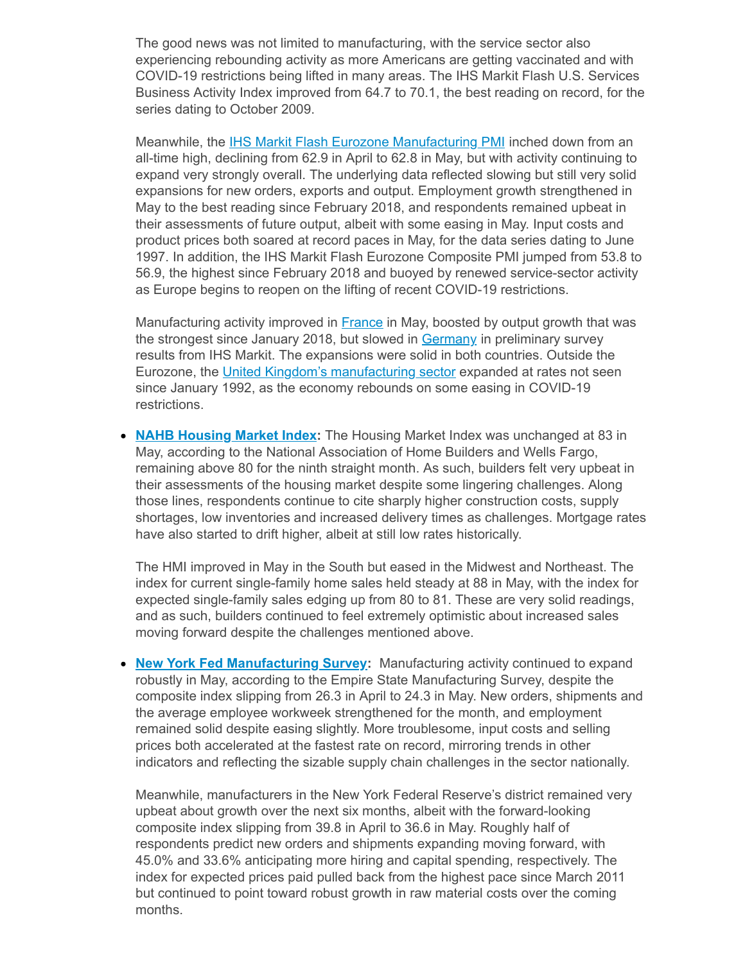The good news was not limited to manufacturing, with the service sector also experiencing rebounding activity as more Americans are getting vaccinated and with COVID-19 restrictions being lifted in many areas. The IHS Markit Flash U.S. Services Business Activity Index improved from 64.7 to 70.1, the best reading on record, for the series dating to October 2009.

Meanwhile, the IHS Markit Flash Eurozone [Manufacturing](https://click.email.nam.org/?qs=95f36be3d772db2979a9e6337dd6e396bf80a7f5c6c87f650e8ee6e1b3439ec1d579d49c7581983b7e1c0a11c836a93f64a69b9391b6a558) PMI inched down from an all-time high, declining from 62.9 in April to 62.8 in May, but with activity continuing to expand very strongly overall. The underlying data reflected slowing but still very solid expansions for new orders, exports and output. Employment growth strengthened in May to the best reading since February 2018, and respondents remained upbeat in their assessments of future output, albeit with some easing in May. Input costs and product prices both soared at record paces in May, for the data series dating to June 1997. In addition, the IHS Markit Flash Eurozone Composite PMI jumped from 53.8 to 56.9, the highest since February 2018 and buoyed by renewed service-sector activity as Europe begins to reopen on the lifting of recent COVID-19 restrictions.

Manufacturing activity improved in [France](https://click.email.nam.org/?qs=95f36be3d772db2956e69cae48aef834c0e5d5fc63f2165c6f117eb64bde69d7debc3f8e715a1b33cc5a954a8ed82c2df08548cfd773524f) in May, boosted by output growth that was the strongest since January 2018, but slowed in [Germany](https://click.email.nam.org/?qs=95f36be3d772db2940bfdf602010bd2876c7970336e7492ce38cdb4763b4d10c1e086bf897a063c370b02c03311953867547591cf24603bd) in preliminary survey results from IHS Markit. The expansions were solid in both countries. Outside the Eurozone, the United Kingdom's [manufacturing](https://click.email.nam.org/?qs=95f36be3d772db2931593479869fc04dec80a61391cd2bbd3277c3e5f4553c7994333b7ccf650a45f19cbcb95fec8c7e10f3edaeb34ce9cb) sector expanded at rates not seen since January 1992, as the economy rebounds on some easing in COVID-19 restrictions.

**NAHB [Housing](https://click.email.nam.org/?qs=95f36be3d772db2967e1134817d44464742696c5a08fa50c25970722de7084eac4c7821cb0a059203f8969a431960d5b8ee3c32d613c5b0d) Market Index:** The Housing Market Index was unchanged at 83 in May, according to the National Association of Home Builders and Wells Fargo, remaining above 80 for the ninth straight month. As such, builders felt very upbeat in their assessments of the housing market despite some lingering challenges. Along those lines, respondents continue to cite sharply higher construction costs, supply shortages, low inventories and increased delivery times as challenges. Mortgage rates have also started to drift higher, albeit at still low rates historically.

The HMI improved in May in the South but eased in the Midwest and Northeast. The index for current single-family home sales held steady at 88 in May, with the index for expected single-family sales edging up from 80 to 81. These are very solid readings, and as such, builders continued to feel extremely optimistic about increased sales moving forward despite the challenges mentioned above.

**New York Fed [Manufacturing](https://click.email.nam.org/?qs=95f36be3d772db297594c31c6e70a88321908e9871e1010d1476f4b2fb8a8a71131b20dc42e2142d54849b75d853f1f6457e014b14a65773) Survey:** Manufacturing activity continued to expand robustly in May, according to the Empire State Manufacturing Survey, despite the composite index slipping from 26.3 in April to 24.3 in May. New orders, shipments and the average employee workweek strengthened for the month, and employment remained solid despite easing slightly. More troublesome, input costs and selling prices both accelerated at the fastest rate on record, mirroring trends in other indicators and reflecting the sizable supply chain challenges in the sector nationally.

Meanwhile, manufacturers in the New York Federal Reserve's district remained very upbeat about growth over the next six months, albeit with the forward-looking composite index slipping from 39.8 in April to 36.6 in May. Roughly half of respondents predict new orders and shipments expanding moving forward, with 45.0% and 33.6% anticipating more hiring and capital spending, respectively. The index for expected prices paid pulled back from the highest pace since March 2011 but continued to point toward robust growth in raw material costs over the coming months.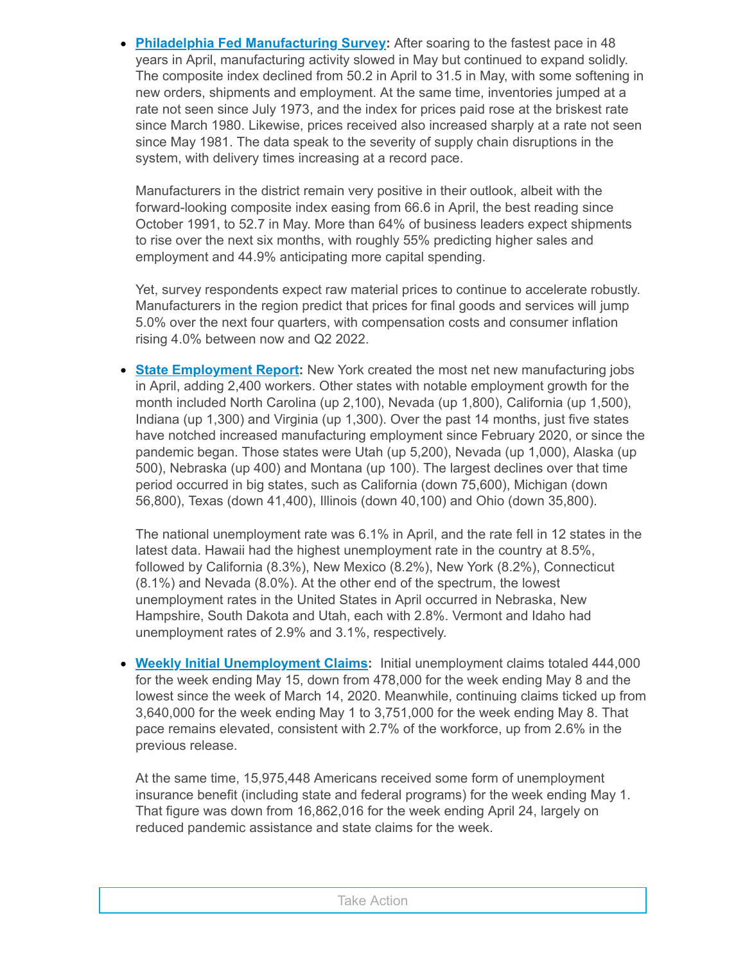**Philadelphia Fed [Manufacturing](https://click.email.nam.org/?qs=95f36be3d772db2967cb4a3410acbbbb1eeee4e87a799f530d655e32bd55a2ca47da85ae7d7b02167b278b42b2febaf7ef8dee3659ac8769) Survey:** After soaring to the fastest pace in 48 years in April, manufacturing activity slowed in May but continued to expand solidly. The composite index declined from 50.2 in April to 31.5 in May, with some softening in new orders, shipments and employment. At the same time, inventories jumped at a rate not seen since July 1973, and the index for prices paid rose at the briskest rate since March 1980. Likewise, prices received also increased sharply at a rate not seen since May 1981. The data speak to the severity of supply chain disruptions in the system, with delivery times increasing at a record pace.

Manufacturers in the district remain very positive in their outlook, albeit with the forward-looking composite index easing from 66.6 in April, the best reading since October 1991, to 52.7 in May. More than 64% of business leaders expect shipments to rise over the next six months, with roughly 55% predicting higher sales and employment and 44.9% anticipating more capital spending.

Yet, survey respondents expect raw material prices to continue to accelerate robustly. Manufacturers in the region predict that prices for final goods and services will jump 5.0% over the next four quarters, with compensation costs and consumer inflation rising 4.0% between now and Q2 2022.

**State [Employment](https://click.email.nam.org/?qs=95f36be3d772db29f74d0ef52fdc6f86b309f81f467f1d91ed6ea8c2b0c11cd734f8b50ca043abfa6276d03e68914c0fcd2529ed4277e67d) Report:** New York created the most net new manufacturing jobs in April, adding 2,400 workers. Other states with notable employment growth for the month included North Carolina (up 2,100), Nevada (up 1,800), California (up 1,500), Indiana (up 1,300) and Virginia (up 1,300). Over the past 14 months, just five states have notched increased manufacturing employment since February 2020, or since the pandemic began. Those states were Utah (up 5,200), Nevada (up 1,000), Alaska (up 500), Nebraska (up 400) and Montana (up 100). The largest declines over that time period occurred in big states, such as California (down 75,600), Michigan (down 56,800), Texas (down 41,400), Illinois (down 40,100) and Ohio (down 35,800).

The national unemployment rate was 6.1% in April, and the rate fell in 12 states in the latest data. Hawaii had the highest unemployment rate in the country at 8.5%, followed by California (8.3%), New Mexico (8.2%), New York (8.2%), Connecticut (8.1%) and Nevada (8.0%). At the other end of the spectrum, the lowest unemployment rates in the United States in April occurred in Nebraska, New Hampshire, South Dakota and Utah, each with 2.8%. Vermont and Idaho had unemployment rates of 2.9% and 3.1%, respectively.

**Weekly Initial [Unemployment](https://click.email.nam.org/?qs=95f36be3d772db294661614e3466f55b3852d750ae3f8bc946c23f629eda6e92ae6054203f8720ac4a540f81c14ca7c34f93d0d77fc12b63) Claims:** Initial unemployment claims totaled 444,000 for the week ending May 15, down from 478,000 for the week ending May 8 and the lowest since the week of March 14, 2020. Meanwhile, continuing claims ticked up from 3,640,000 for the week ending May 1 to 3,751,000 for the week ending May 8. That pace remains elevated, consistent with 2.7% of the workforce, up from 2.6% in the previous release.

At the same time, 15,975,448 Americans received some form of unemployment insurance benefit (including state and federal programs) for the week ending May 1. That figure was down from 16,862,016 for the week ending April 24, largely on reduced pandemic assistance and state claims for the week.